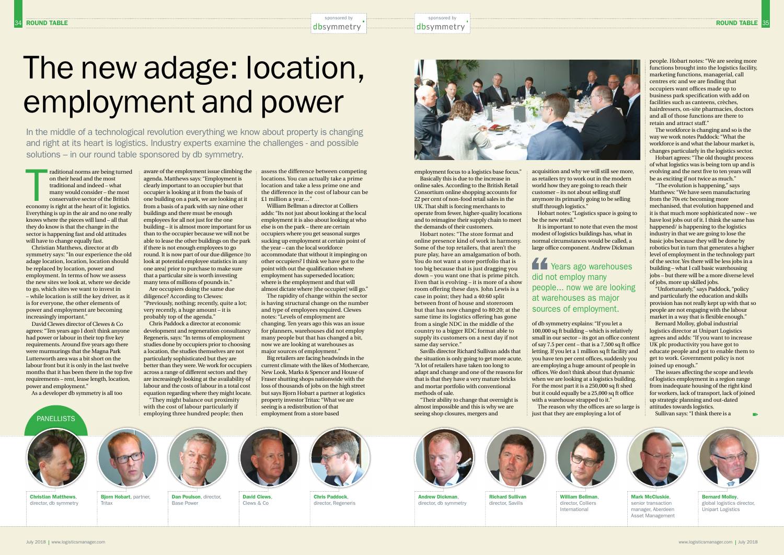PANELLISTS

raditional norms are being turned<br>
on their head and the most<br>
traditional and indeed – what<br>
many would consider – the most<br>
conservative sector of the British<br>
economy is right at the heart of it: logistics. on their head and the most traditional and indeed – what many would consider – the most conservative sector of the British Everything is up in the air and no one really knows where the pieces will land – all that they do know is that the change in the sector is happening fast and old attitudes will have to change equally fast.

Christian Matthews, director at db symmetry says: "In our experience the old adage location, location, location should be replaced by location, power and employment. In terms of how we assess the new sites we look at, where we decide to go, which sites we want to invest in – while location is still the key driver, as it is for everyone, the other elements of power and employment are becoming increasingly important."

David Clewes director of Clewes & Co agrees: "Ten years ago I don't think anyone had power or labour in their top five key requirements. Around five years ago there were murmurings that the Magna Park Lutterworth area was a bit short on the labour front but it is only in the last twelve months that it has been there in the top five requirements – rent, lease length, location, power and employment."

As a developer db symmetry is all too

aware of the employment issue climbing the agenda. Matthews says: "Employment is clearly important to an occupier but that occupier is looking at it from the basis of one building on a park, we are looking at it from a basis of a park with say nine other buildings and there must be enough employees for all not just for the one building – it is almost more important for us than to the occupier because we will not be able to lease the other buildings on the park if there is not enough employees to go round. It is now part of our due diligence [to look at potential employee statistics in any one area] prior to purchase to make sure that a particular site is worth investing many tens of millions of pounds in." Are occupiers doing the same due

diligence? According to Clewes: "Previously, nothing; recently, quite a lot; very recently, a huge amount – it is probably top of the agenda."

> David Clews Clews & Co





Chris Paddock a director at economic development and regeneration consultancy Regeneris, says: "In terms of employment studies done by occupiers prior to choosing a location, the studies themselves are not particularly sophisticated but they are better than they were. We work for occupiers across a range of different sectors and they are increasingly looking at the availability of labour and the costs of labour in a total cost equation regarding where they might locate.

"They might balance out proximity with the cost of labour particularly if employing three hundred people; then assess the difference between competing William Bellman a director at Colliers

locations. You can actually take a prime location and take a less prime one and the difference in the cost of labour can be £1 million a year…"

adds: "Its not just about looking at the local employment it is also about looking at who else is on the park – there are certain occupiers where you get seasonal surges sucking up employment at certain point of the year – can the local workforce accommodate that without it impinging on other occupiers? I think we have got to the point with out the qualification where employment has superseded location; where is the employment and that will almost dictate where [the occupier] will go."

The rapidity of change within the sector is having structural change on the number and type of employees required. Clewes notes: "Levels of employment are changing. Ten years ago this was an issue for planners, warehouses did not employ many people but that has changed a bit, now we are looking at warehouses as major sources of employment."

Big retailers are facing headwinds in the employment from a store based

sponsored by **Election** and the sponsored by



current climate with the likes of Mothercare, New Look, Marks & Spencer and House of Fraser shutting shops nationwide with the loss of thousands of jobs on the high street but says Bjorn Hobart a partner at logistics property investor Tritax: "What we are seeing is a redistribution of that

Christian Matthews, director, db symmetry

July 2018 | www.logisticsmanager.com





Dan Poulson, director,



Base Power





Years ago warehouses did not employ many people... now we are looking at warehouses as major sources of employment.

employment focus to a logistics base focus." Basically this is due to the increase in online sales. According to the British Retail Consortium online shopping accounts for 22 per cent of non-food retail sales in the UK. That shift is forcing merchants to operate from fewer, higher-quality locations and to reimagine their supply chain to meet the demands of their customers.

Hobart notes: "The store format and online presence kind of work in harmony. Some of the top retailers, that aren't the pure play, have an amalgamation of both. You do not want a store portfolio that is too big because that is just dragging you down – you want one that is prime pitch. Even that is evolving – it is more of a show room offering these days. John Lewis is a case in point; they had a 40:60 split between front of house and storeroom but that has now changed to 80:20; at the same time its logistics offering has gone from a single NDC in the middle of the country to a bigger RDC format able to supply its customers on a next day if not same day service."

Savills director Richard Sullivan adds that the situation is only going to get more acute. "A lot of retailers have taken too long to adapt and change and one of the reasons for that is that they have a very mature bricks and mortar portfolio with conventional methods of sale.

"Their ability to change that overnight is almost impossible and this is why we are seeing shop closures, mergers and

acquisition and why we will still see more, as retailers try to work out in the modern world how they are going to reach their

It is important to note that even the most modest of logistics buildings has, what in normal circumstances would be called, a large office component. Andrew Dickman

of db symmetry explains: "If you let a 100,000 sq ft building – which is relatively small in our sector – its got an office content of say 7.5 per cent – that is a 7,500 sq ft office letting. If you let a 1 million sq ft facility and you have ten per cent offices, suddenly you are employing a huge amount of people in offices. We don't think about that dynamic when we are looking at a logistics building. For the most part it is a 250,000 sq ft shed but it could equally be a 25,000 sq ft office with a warehouse strapped to it." The reason why the offices are so large is just that they are employing a lot of

people. Hobart notes: "We are seeing more functions brought into the logistics facility, marketing functions, managerial, call centres etc and we are finding that occupiers want offices made up to business park specification with add on facilities such as canteens, crèches, hairdressers, on-site pharmacies, doctors and all of those functions are there to retain and attract staff."

The workforce is changing and so is the way we work notes Paddock: "What the workforce is and what the labour market is, changes particularly in the logistics sector.

Hobart agrees: "The old thought process of what logistics was is being torn up and is evolving and the next five to ten years will be as exciting if not twice as much."

"The evolution is happening," says Matthews: "We have seen manufacturing from the 70s etc becoming more mechanised, that evolution happened and it is that much more sophisticated now – we have lost jobs out of it. I think the same has happened/ is happening to the logistics industry in that we are going to lose the basic jobs because they will be done by robotics but in turn that generates a higher level of employment in the technology part of the sector. Yes there will be less jobs in a building – what I call basic warehousing jobs – but there will be a more diverse level of jobs, more up skilled jobs.

"Unfortunately," says Paddock, "policy and particularly the education and skills provision has not really kept up with that so people are not engaging with the labour market in a way that is flexible enough."

Bernard Molloy, global industrial logistics director at Unipart Logistics agrees and adds: "If you want to increase UK plc productivity you have got to educate people and got to enable them to get to work. Government policy is not joined up enough."

The issues affecting the scope and levels of logistics employment in a region range from inadequate housing of the right kind for workers, lack of transport, lack of joined up strategic planning and out-dated attitudes towards logistics.

Sullivan says: "I think there is a

The new adage: location, employment and power

In the middle of a technological revolution everything we know about property is changing and right at its heart is logistics. Industry experts examine the challenges - and possible solutions – in our round table sponsored by db symmetry.